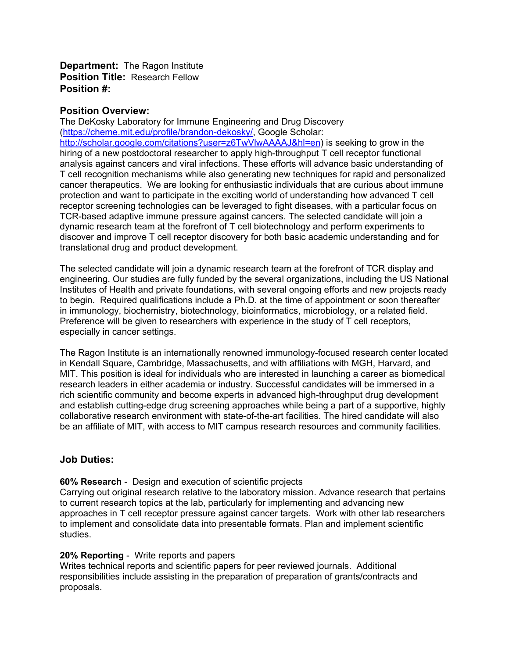**Department:** The Ragon Institute **Position Title:** Research Fellow **Position #:**

## **Position Overview:**

The DeKosky Laboratory for Immune Engineering and Drug Discovery [\(https://cheme.mit.edu/profile/brandon-dekosky/,](https://cheme.mit.edu/profile/brandon-dekosky/) Google Scholar: [http://scholar.google.com/citations?user=z6TwVlwAAAAJ&hl=en\)](http://scholar.google.com/citations?user=z6TwVlwAAAAJ&hl=en) is seeking to grow in the hiring of a new postdoctoral researcher to apply high-throughput T cell receptor functional analysis against cancers and viral infections. These efforts will advance basic understanding of T cell recognition mechanisms while also generating new techniques for rapid and personalized cancer therapeutics. We are looking for enthusiastic individuals that are curious about immune protection and want to participate in the exciting world of understanding how advanced T cell receptor screening technologies can be leveraged to fight diseases, with a particular focus on TCR-based adaptive immune pressure against cancers. The selected candidate will join a dynamic research team at the forefront of T cell biotechnology and perform experiments to discover and improve T cell receptor discovery for both basic academic understanding and for translational drug and product development.

The selected candidate will join a dynamic research team at the forefront of TCR display and engineering. Our studies are fully funded by the several organizations, including the US National Institutes of Health and private foundations, with several ongoing efforts and new projects ready to begin. Required qualifications include a Ph.D. at the time of appointment or soon thereafter in immunology, biochemistry, biotechnology, bioinformatics, microbiology, or a related field. Preference will be given to researchers with experience in the study of T cell receptors, especially in cancer settings.

The Ragon Institute is an internationally renowned immunology-focused research center located in Kendall Square, Cambridge, Massachusetts, and with affiliations with MGH, Harvard, and MIT. This position is ideal for individuals who are interested in launching a career as biomedical research leaders in either academia or industry. Successful candidates will be immersed in a rich scientific community and become experts in advanced high-throughput drug development and establish cutting-edge drug screening approaches while being a part of a supportive, highly collaborative research environment with state-of-the-art facilities. The hired candidate will also be an affiliate of MIT, with access to MIT campus research resources and community facilities.

# **Job Duties:**

# **60% Research** - Design and execution of scientific projects

Carrying out original research relative to the laboratory mission. Advance research that pertains to current research topics at the lab, particularly for implementing and advancing new approaches in T cell receptor pressure against cancer targets. Work with other lab researchers to implement and consolidate data into presentable formats. Plan and implement scientific studies.

#### **20% Reporting** - Write reports and papers

Writes technical reports and scientific papers for peer reviewed journals. Additional responsibilities include assisting in the preparation of preparation of grants/contracts and proposals.